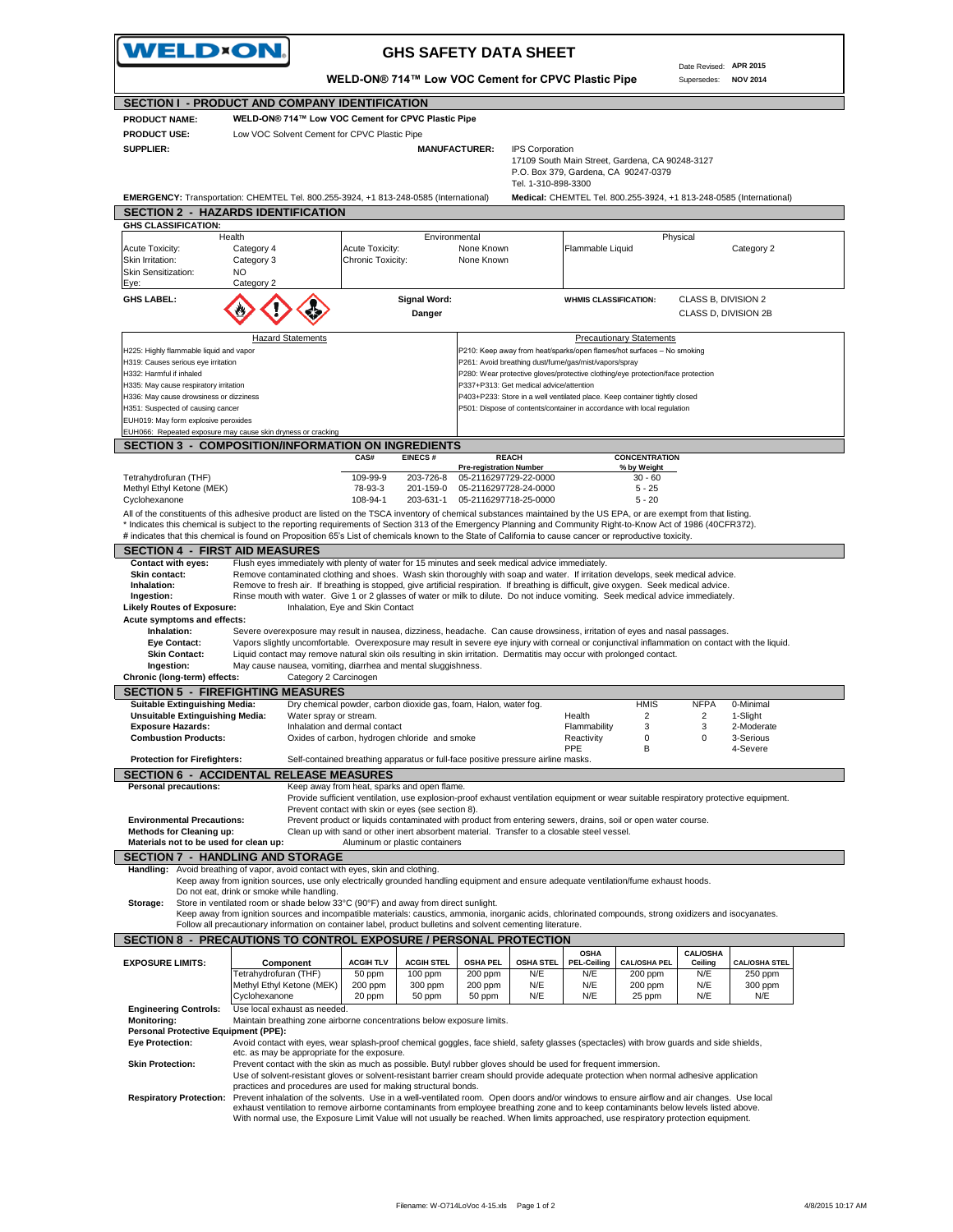

## **GHS SAFETY DATA SHEET**

Date Revised: **APR 2015**

**WELD-ON® 714™ Low VOC Cement for CPVC Plastic Pipe**

Supersedes: **NOV 2014 SECTION I - PRODUCT AND COMPANY IDENTIFICATION WELD-ON® 714™ Low VOC Cement for CPVC Plastic Pipe** Low VOC Solvent Cement for CPVC Plastic Pipe  **MANUFACTURER:** IPS Corporation 17109 South Main Street, Gardena, CA 90248-3127 P.O. Box 379, Gardena, CA 90247-0379 Tel. 1-310-898-3300 **EMERGENCY:** Transportation: CHEMTEL Tel. 800.255-3924, +1 813-248-0585 (International) **Medical:** CHEMTEL Tel. 800.255-3924, +1 813-248-0585 (International) **SECTION 2 - HAZARDS IDENTIFICATION** Acute Toxicity: Category 4 Acute Toxicity: None Known Flammable Liquid Category 2 Skin Irritation: Category 3 Chronic Toxicity: None Known<br>Skin Sensitization: NO<br> Skin Sensitization: Eye: GHS LABEL: **Signal Word: Signal Word: WHMIS CLASSIFICATION:** CLASS B, DIVISION 2<br>CLASS D, DIVISION 2 **Danger** CLASS D, DIVISION 2B H225: Highly flammable liquid and vapor P210: Reep away from heat/sparks/open flames/hot surfaces – No smoking H319: Causes serious eye irritation et al. et al. et al. et al. et al. et al. et al. et al. et al. et al. et a<br>H332: Harmful if inhaled the allem the state of all ethnology of a state of a state of a state of a state of a P280: Wear protective gloves/protective clothing/eye protection/face protection H335: May cause respiratory irritation P337+P313: Get medical advice/attention H336: May cause drowsiness or dizziness **P403+P233:** Store in a well ventilated place. Keep container tightly closed H351: Suspected of causing cancer **P501: Dispose of contents/container in accordance with local regulation** EUH019: May form explosive peroxides  $EUM066: R\epsilon$ **SECTION 3 - COMPOSITION/INFORMATION ON INGREDIENTS CONCENTRATION**<br>% by Weight **Pregistration Number** Tetrahydrofuran (THF) 109-99-9 203-726-8 05-2116297729-22-0000 30-60<br>109-99-9 203-726-8 05-2116297728-24-0000 5-25-25 Methyl Ethyl Ketone (MEK) Methyl Ethyl Ketone (MEK) 78-93-3 201-159-0<br>Cyclohexanone 78-93-1 108-94-1 203-631-1 05-2116297718-25-0000 5 - 20 All of the constituents of this adhesive product are listed on the TSCA inventory of chemical substances maintained by the US EPA, or are exempt from that listing. \* Indicates this chemical is subject to the reporting requirements of Section 313 of the Emergency Planning and Community Right-to-Know Act of 1986 (40CFR372). # indicates that this chemical is found on Proposition 65's List of chemicals known to the State of California to cause cancer or reproductive toxicity. **SECTION 4 - FIRST AID MEASURES Contact with eyes:** Flush eyes immediately with plenty of water for 15 minutes and seek medical advice immediately. **Skin contact:** Remove contaminated clothing and shoes. Wash skin thoroughly with soap and water. If irritation develops, seek medical advice. **Inhalation:** Remove to fresh air. If breathing is stopped, give artificial respiration. If breathing is difficult, give oxygen. Seek medical advice immediatel<br> **Ingestion:** Rinse mouth with water. Give 1 or 2 glasses of w  **Ingestion:** Rinse mouth with water. Give 1 or 2 glasses of water or milk to dilute. Do not induce vomiting. Seek medical advice immediately. **Likely Routes of Exposure: Acute symptoms and effects: Inhalation:** Severe overexposure may result in nausea, dizziness, headache. Can cause drowsiness, irritation of eyes and nasal passages. Eye Contact: Vapors slightly uncomfortable. Overexposure may result in severe eye injury with corneal or conjunctival inflammation on contact with the liquid.<br>Skin Contact: Liquid contact may remove natural skin oils resul **Ingestion:** May cause nausea, vomiting, diarrhea and mental sluggishness.<br> **iic (long-term) effects:** Category 2 Carcinogen Chronic (long-term) effects: **SECTION 5 - FIREFIGHTING MEASURES Suitable Extinguishing Media:** Dry chemical powder, carbon dioxide gas, foam, Halon, water fog. **Health** HMIS NFPA 0-Minimal<br>1-Slight 2 2 1-Slight 2 1-Slight **Unsuitable Extinguishing Media:** Water spray or stream. Health 2 2 1-Slight<br> **Exposure Hazards:** All Unital 2 1-Slight 1 2 1-Slight 1 2 2 1-Slight<br>
Exposure Hazards: 100derate 100derate 100dermal contact 1 2 11-Moderate **Exposure Hazards:** Thinalation and dermal contact and smoke that the Flammability and the state of an and the conta<br> **Combustion Products:** Coxides of carbon, hydrogen chloride and smoke the Reactivity on the combustion o Oxides of carbon, hydrogen chloride and smoke PPE B 4-Severe Protection for Firefighters: Self-contained breathing apparatus or full-face positive pressure airline masks **SECTION 6 - ACCIDENTAL RELEASE MEASURES** Personal precautions: **Keep away from heat, sparks and open flame.** Provide sufficient ventilation, use explosion-proof exhaust ventilation equipment or wear suitable respiratory protective equipment. Prevent contact with skin or eyes (see section 8).  **Environmental Precautions:** Prevent product or liquids contaminated with product from entering sewers, drains, soil or open water course.  **Methods for Cleaning up:** Clean up with sand or other inert absorbent material. Transfer to a closable steel vessel. **Materials not to be used for clean up:** Aluminum or plastic containers **SECTION 7 - HANDLING AND STORAGE**<br>Handling: Avoid breathing of vapor, avoid contact with Avoid breathing of vapor, avoid contact with eyes, skin and clothing. Keep away from ignition sources, use only electrically grounded handling equipment and ensure adequate ventilation/fume exhaust hoods. Do not eat, drink or smoke while handling.  **Storage:** Store in ventilated room or shade below 33°C (90°F) and away from direct sunlight. Keep away from ignition sources and incompatible materials: caustics, ammonia, inorganic acids, chlorinated compounds, strong oxidizers and isocyanates.<br>Follow all precautionary information on container label, product bull **SECTION 8 - PRECAUTIONS TO CONTROL EXPOSURE / PERSONAL PROTECTION EXPOSURE LIMITS: ACGIH TLV ACGIH STEL OSHA PEL OSHA STEL OSHA PEL-Ceiling CAL/OSHA PEL CAL/OSHA Ceiling CAL/OSHA STEL** Tetrahydrofuran (THF) 50 ppm 100 ppm 200 ppm N/E N/E 200 ppm N/E 250 ppm<br>Methvl Ethvl Ketone (MEK) 200 ppm 300 ppm 200 ppm N/E N/E 200 ppm N/E 300 ppm Methyl Ethyl Ketone (MEK) 200 ppm 300 ppm 200 ppm N/E N/E 200 ppm N/E 300 ppm 20 ppm | 50 ppm | 50 ppm | N/E | N/E | 25 ppm | N/E | N/E  **Engineering Controls:** Use local exhaust as needed.  **Monitoring:** Maintain breathing zone airborne concentrations below exposure limits. **Personal Protective Equipment (PPE):**<br> **Eve Protection:** Avoid contact .<br>Avoid contact with eyes, wear splash-proof chemical goggles, face shield, safety glasses (spectacles) with brow guards and side shields, etc. as may be appropriate for the exposure.  **Skin Protection:** Prevent contact with the skin as much as possible. Butyl rubber gloves should be used for frequent immersion. Use of solvent-resistant gloves or solvent-resistant barrier cream should provide adequate protection when normal adhesive application practices and procedures are used for making structural bonds.  **Respiratory Protection:** Prevent inhalation of the solvents. Use in a well-ventilated room. Open doors and/or windows to ensure airflow and air changes. Use local **REACH Component** Cyclohexanone Health Environmental Physical Categ Hazard Statements Precautionary Statements **PRODUCT NAME: PRODUCT USE: SUPPLIER: GHS CLASSIFICATION:**

exhaust ventilation to remove airborne contaminants from employee breathing zone and to keep contaminants below levels listed above.<br>With normal use, the Exposure Limit Value will not usually be reached. When limits approa